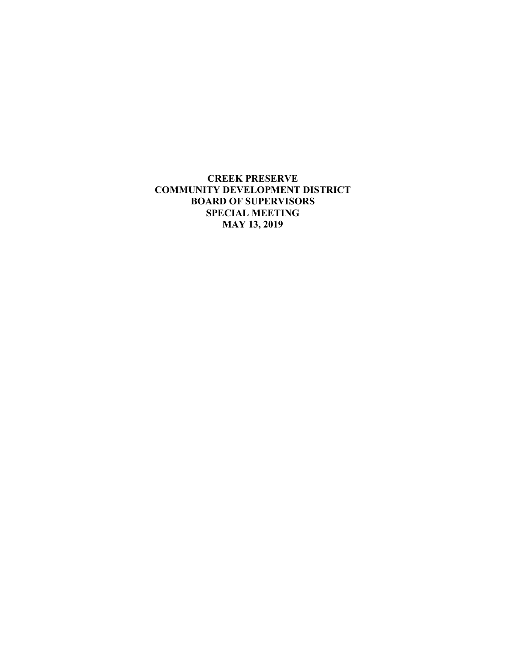**CREEK PRESERVE COMMUNITY DEVELOPMENT DISTRICT BOARD OF SUPERVISORS SPECIAL MEETING MAY 13, 2019**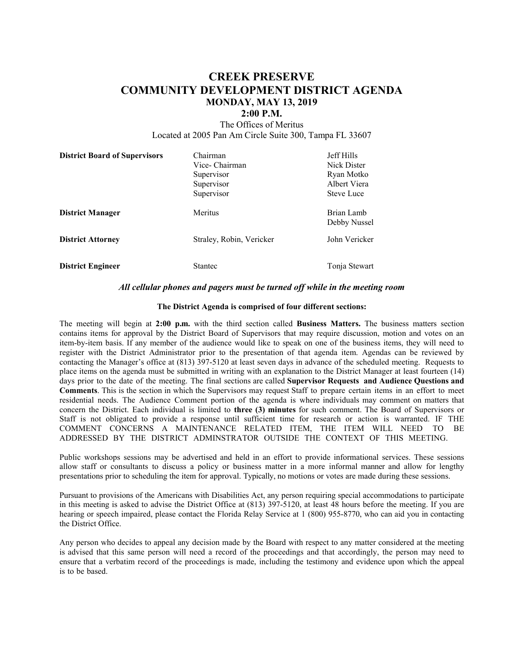# **CREEK PRESERVE COMMUNITY DEVELOPMENT DISTRICT AGENDA MONDAY, MAY 13, 2019**

#### **2:00 P.M.**

The Offices of Meritus Located at 2005 Pan Am Circle Suite 300, Tampa FL 33607

| <b>District Board of Supervisors</b> | Chairman<br>Vice- Chairman<br>Supervisor<br>Supervisor<br>Supervisor | <b>Jeff Hills</b><br>Nick Dister<br>Ryan Motko<br>Albert Viera<br><b>Steve Luce</b> |
|--------------------------------------|----------------------------------------------------------------------|-------------------------------------------------------------------------------------|
| <b>District Manager</b>              | Meritus                                                              | Brian Lamb<br>Debby Nussel                                                          |
| <b>District Attorney</b>             | Straley, Robin, Vericker                                             | John Vericker                                                                       |
| <b>District Engineer</b>             | Stantec                                                              | Tonja Stewart                                                                       |

#### *All cellular phones and pagers must be turned off while in the meeting room*

#### **The District Agenda is comprised of four different sections:**

The meeting will begin at **2:00 p.m.** with the third section called **Business Matters.** The business matters section contains items for approval by the District Board of Supervisors that may require discussion, motion and votes on an item-by-item basis. If any member of the audience would like to speak on one of the business items, they will need to register with the District Administrator prior to the presentation of that agenda item. Agendas can be reviewed by contacting the Manager's office at (813) 397-5120 at least seven days in advance of the scheduled meeting. Requests to place items on the agenda must be submitted in writing with an explanation to the District Manager at least fourteen (14) days prior to the date of the meeting. The final sections are called **Supervisor Requests and Audience Questions and Comments**. This is the section in which the Supervisors may request Staff to prepare certain items in an effort to meet residential needs. The Audience Comment portion of the agenda is where individuals may comment on matters that concern the District. Each individual is limited to **three (3) minutes** for such comment. The Board of Supervisors or Staff is not obligated to provide a response until sufficient time for research or action is warranted. IF THE COMMENT CONCERNS A MAINTENANCE RELATED ITEM, THE ITEM WILL NEED TO BE ADDRESSED BY THE DISTRICT ADMINSTRATOR OUTSIDE THE CONTEXT OF THIS MEETING.

Public workshops sessions may be advertised and held in an effort to provide informational services. These sessions allow staff or consultants to discuss a policy or business matter in a more informal manner and allow for lengthy presentations prior to scheduling the item for approval. Typically, no motions or votes are made during these sessions.

Pursuant to provisions of the Americans with Disabilities Act, any person requiring special accommodations to participate in this meeting is asked to advise the District Office at (813) 397-5120, at least 48 hours before the meeting. If you are hearing or speech impaired, please contact the Florida Relay Service at 1 (800) 955-8770, who can aid you in contacting the District Office.

Any person who decides to appeal any decision made by the Board with respect to any matter considered at the meeting is advised that this same person will need a record of the proceedings and that accordingly, the person may need to ensure that a verbatim record of the proceedings is made, including the testimony and evidence upon which the appeal is to be based.